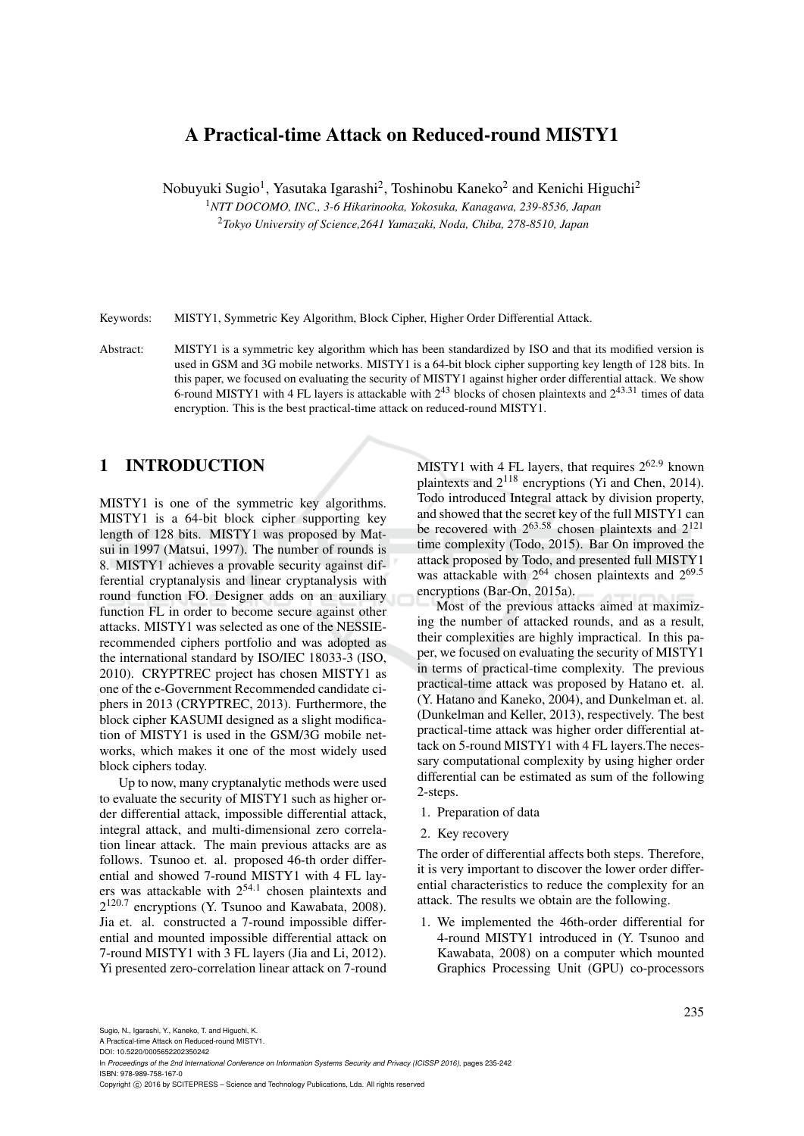# A Practical-time Attack on Reduced-round MISTY1

Nobuyuki Sugio<sup>1</sup>, Yasutaka Igarashi<sup>2</sup>, Toshinobu Kaneko<sup>2</sup> and Kenichi Higuchi<sup>2</sup>

<sup>1</sup>*NTT DOCOMO, INC., 3-6 Hikarinooka, Yokosuka, Kanagawa, 239-8536, Japan*

<sup>2</sup>*Tokyo University of Science,2641 Yamazaki, Noda, Chiba, 278-8510, Japan*

Keywords: MISTY1, Symmetric Key Algorithm, Block Cipher, Higher Order Differential Attack.

Abstract: MISTY1 is a symmetric key algorithm which has been standardized by ISO and that its modified version is used in GSM and 3G mobile networks. MISTY1 is a 64-bit block cipher supporting key length of 128 bits. In this paper, we focused on evaluating the security of MISTY1 against higher order differential attack. We show 6-round MISTY1 with 4 FL layers is attackable with  $2^{43}$  blocks of chosen plaintexts and  $2^{43.31}$  times of data encryption. This is the best practical-time attack on reduced-round MISTY1.

## 1 INTRODUCTION

MISTY1 is one of the symmetric key algorithms. MISTY1 is a 64-bit block cipher supporting key length of 128 bits. MISTY1 was proposed by Matsui in 1997 (Matsui, 1997). The number of rounds is 8. MISTY1 achieves a provable security against differential cryptanalysis and linear cryptanalysis with round function FO. Designer adds on an auxiliary function FL in order to become secure against other attacks. MISTY1 was selected as one of the NESSIErecommended ciphers portfolio and was adopted as the international standard by ISO/IEC 18033-3 (ISO, 2010). CRYPTREC project has chosen MISTY1 as one of the e-Government Recommended candidate ciphers in 2013 (CRYPTREC, 2013). Furthermore, the block cipher KASUMI designed as a slight modification of MISTY1 is used in the GSM/3G mobile networks, which makes it one of the most widely used block ciphers today.

Up to now, many cryptanalytic methods were used to evaluate the security of MISTY1 such as higher order differential attack, impossible differential attack, integral attack, and multi-dimensional zero correlation linear attack. The main previous attacks are as follows. Tsunoo et. al. proposed 46-th order differential and showed 7-round MISTY1 with 4 FL layers was attackable with  $2^{54.1}$  chosen plaintexts and 2<sup>120.7</sup> encryptions (Y. Tsunoo and Kawabata, 2008). Jia et. al. constructed a 7-round impossible differential and mounted impossible differential attack on 7-round MISTY1 with 3 FL layers (Jia and Li, 2012). Yi presented zero-correlation linear attack on 7-round

MISTY1 with 4 FL layers, that requires  $2^{62.9}$  known plaintexts and 2<sup>118</sup> encryptions (Yi and Chen, 2014). Todo introduced Integral attack by division property, and showed that the secret key of the full MISTY1 can be recovered with  $2^{63.58}$  chosen plaintexts and  $2^{121}$ time complexity (Todo, 2015). Bar On improved the attack proposed by Todo, and presented full MISTY1 was attackable with  $2^{64}$  chosen plaintexts and  $2^{69.5}$ encryptions (Bar-On, 2015a).

Most of the previous attacks aimed at maximizing the number of attacked rounds, and as a result, their complexities are highly impractical. In this paper, we focused on evaluating the security of MISTY1 in terms of practical-time complexity. The previous practical-time attack was proposed by Hatano et. al. (Y. Hatano and Kaneko, 2004), and Dunkelman et. al. (Dunkelman and Keller, 2013), respectively. The best practical-time attack was higher order differential attack on 5-round MISTY1 with 4 FL layers.The necessary computational complexity by using higher order differential can be estimated as sum of the following 2-steps.

- 1. Preparation of data
- 2. Key recovery

The order of differential affects both steps. Therefore, it is very important to discover the lower order differential characteristics to reduce the complexity for an attack. The results we obtain are the following.

1. We implemented the 46th-order differential for 4-round MISTY1 introduced in (Y. Tsunoo and Kawabata, 2008) on a computer which mounted Graphics Processing Unit (GPU) co-processors

A Practical-time Attack on Reduced-round MISTY1.

DOI: 10.5220/0005652202350242

Copyright © 2016 by SCITEPRESS - Science and Technology Publications, Lda. All rights reserved

In *Proceedings of the 2nd International Conference on Information Systems Security and Privacy (ICISSP 2016)*, pages 235-242 ISBN: 978-989-758-167-0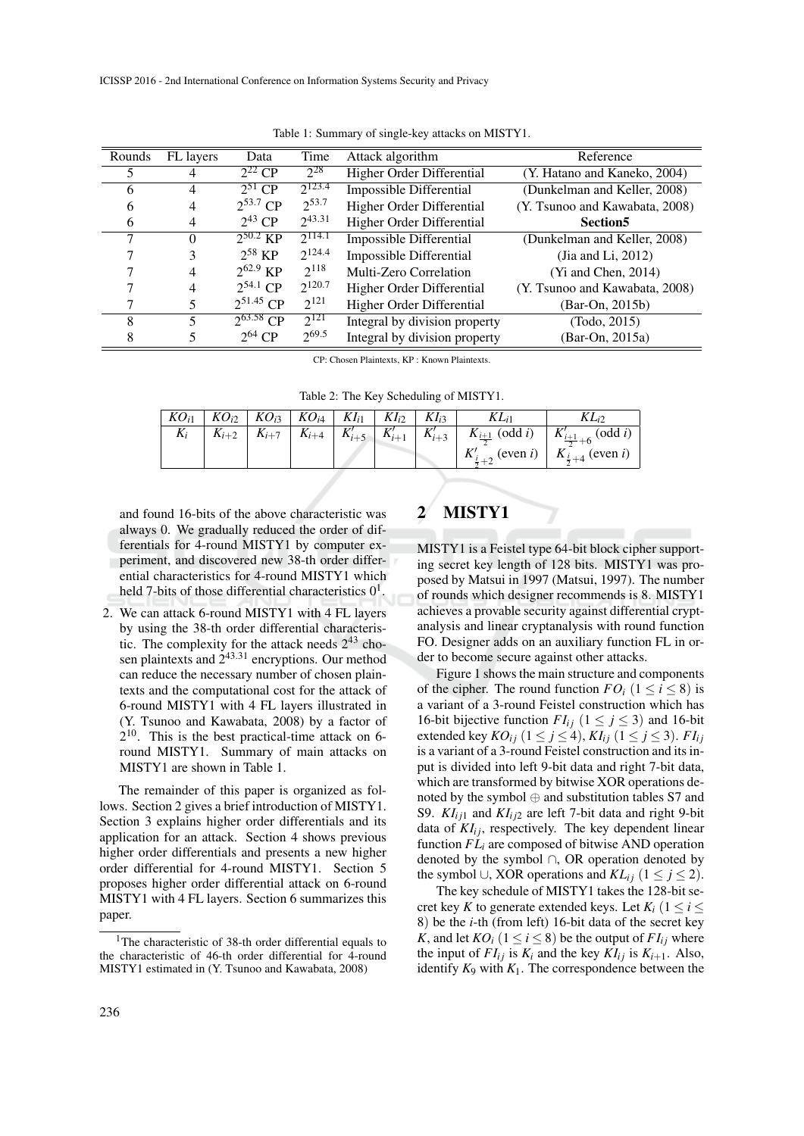| Rounds | FL layers      | Data                             | Time        | Attack algorithm              | Reference                      |
|--------|----------------|----------------------------------|-------------|-------------------------------|--------------------------------|
|        |                | $2^{22}$ CP                      | $2^{28}$    | Higher Order Differential     | (Y. Hatano and Kaneko, 2004)   |
| 6      | 4              | $2^{51}$ CP                      | $2^{123.4}$ | Impossible Differential       | (Dunkelman and Keller, 2008)   |
| 6      | 4              | $2^{53.7}$ CP                    | $2^{53.7}$  | Higher Order Differential     | (Y. Tsunoo and Kawabata, 2008) |
| 6      | $\overline{4}$ | $2^{43}$ CP                      | $2^{43.31}$ | Higher Order Differential     | Section <sub>5</sub>           |
| 7      | 0              | $2^{50.2}$ KP                    | $2^{114.1}$ | Impossible Differential       | (Dunkelman and Keller, 2008)   |
|        | 3              | $2^{58}$ KP                      | $2^{124.4}$ | Impossible Differential       | (Jia and Li, 2012)             |
|        | 4              | $2^{62.9}$ KP                    | $2^{118}$   | Multi-Zero Correlation        | $(Yi$ and Chen, 2014)          |
|        | 4              | $2^{54.1}$ CP                    | $2^{120.7}$ | Higher Order Differential     | (Y. Tsunoo and Kawabata, 2008) |
|        |                | $2^{51.45}$ CP                   | $2^{121}$   | Higher Order Differential     | (Bar-On, 2015b)                |
| 8      | 5              | $\overline{2^{63.58} \text{CP}}$ | $2^{121}$   | Integral by division property | (Todo, 2015)                   |
| 8      |                | $2^{64}$ CP                      | $2^{69.5}$  | Integral by division property | (Bar-On, 2015a)                |

Table 1: Summary of single-key attacks on MISTY1.

CP: Chosen Plaintexts, KP : Known Plaintexts.

|  |  |  | Table 2: The Key Scheduling of MISTY1. |
|--|--|--|----------------------------------------|
|--|--|--|----------------------------------------|

|  |  |  |  | $K_{i+2}$ $K_{i+7}$ $K_{i+4}$ $K'_{i+5}$ $K'_{i+1}$ $K'_{i+3}$ $K_{\frac{i+1}{2}}$ (odd <i>i</i> ) $K'_{\frac{i+1}{2}+6}$ (odd <i>i</i> ) |
|--|--|--|--|-------------------------------------------------------------------------------------------------------------------------------------------|
|  |  |  |  | $K'_{i+2}$ (even i) $K_{\frac{i}{2}+4}$ (even i)                                                                                          |

and found 16-bits of the above characteristic was always 0. We gradually reduced the order of differentials for 4-round MISTY1 by computer experiment, and discovered new 38-th order differential characteristics for 4-round MISTY1 which held 7-bits of those differential characteristics  $0<sup>1</sup>$ .

2. We can attack 6-round MISTY1 with 4 FL layers by using the 38-th order differential characteristic. The complexity for the attack needs  $2^{43}$  chosen plaintexts and  $2^{43.31}$  encryptions. Our method can reduce the necessary number of chosen plaintexts and the computational cost for the attack of 6-round MISTY1 with 4 FL layers illustrated in (Y. Tsunoo and Kawabata, 2008) by a factor of 2 <sup>10</sup>. This is the best practical-time attack on 6 round MISTY1. Summary of main attacks on MISTY1 are shown in Table 1.

The remainder of this paper is organized as follows. Section 2 gives a brief introduction of MISTY1. Section 3 explains higher order differentials and its application for an attack. Section 4 shows previous higher order differentials and presents a new higher order differential for 4-round MISTY1. Section 5 proposes higher order differential attack on 6-round MISTY1 with 4 FL layers. Section 6 summarizes this paper.

## 2 MISTY1

MISTY1 is a Feistel type 64-bit block cipher supporting secret key length of 128 bits. MISTY1 was proposed by Matsui in 1997 (Matsui, 1997). The number of rounds which designer recommends is 8. MISTY1 achieves a provable security against differential cryptanalysis and linear cryptanalysis with round function FO. Designer adds on an auxiliary function FL in order to become secure against other attacks.

Figure 1 shows the main structure and components of the cipher. The round function  $FO_i$  ( $1 \le i \le 8$ ) is a variant of a 3-round Feistel construction which has 16-bit bijective function  $FI_{ij}$  ( $1 \le j \le 3$ ) and 16-bit extended key  $KO_{ij}$  ( $1 \leq j \leq 4$ ),  $KI_{ij}$  ( $1 \leq j \leq 3$ ).  $FI_{ij}$ is a variant of a 3-round Feistel construction and its input is divided into left 9-bit data and right 7-bit data, which are transformed by bitwise XOR operations denoted by the symbol ⊕ and substitution tables S7 and S9.  $KI_{ii1}$  and  $KI_{ii2}$  are left 7-bit data and right 9-bit data of  $KI_{ij}$ , respectively. The key dependent linear function  $FL<sub>i</sub>$  are composed of bitwise AND operation denoted by the symbol ∩, OR operation denoted by the symbol ∪, XOR operations and  $KL_{ij}$  (1 ≤ *j* ≤ 2).

The key schedule of MISTY1 takes the 128-bit secret key *K* to generate extended keys. Let  $K_i$  ( $1 \leq i \leq$ 8) be the *i*-th (from left) 16-bit data of the secret key *K*, and let  $KO_i$  ( $1 \le i \le 8$ ) be the output of  $FI_{ii}$  where the input of  $FI_{ij}$  is  $K_i$  and the key  $KI_{ij}$  is  $K_{i+1}$ . Also, identify  $K_9$  with  $K_1$ . The correspondence between the

<sup>&</sup>lt;sup>1</sup>The characteristic of 38-th order differential equals to the characteristic of 46-th order differential for 4-round MISTY1 estimated in (Y. Tsunoo and Kawabata, 2008)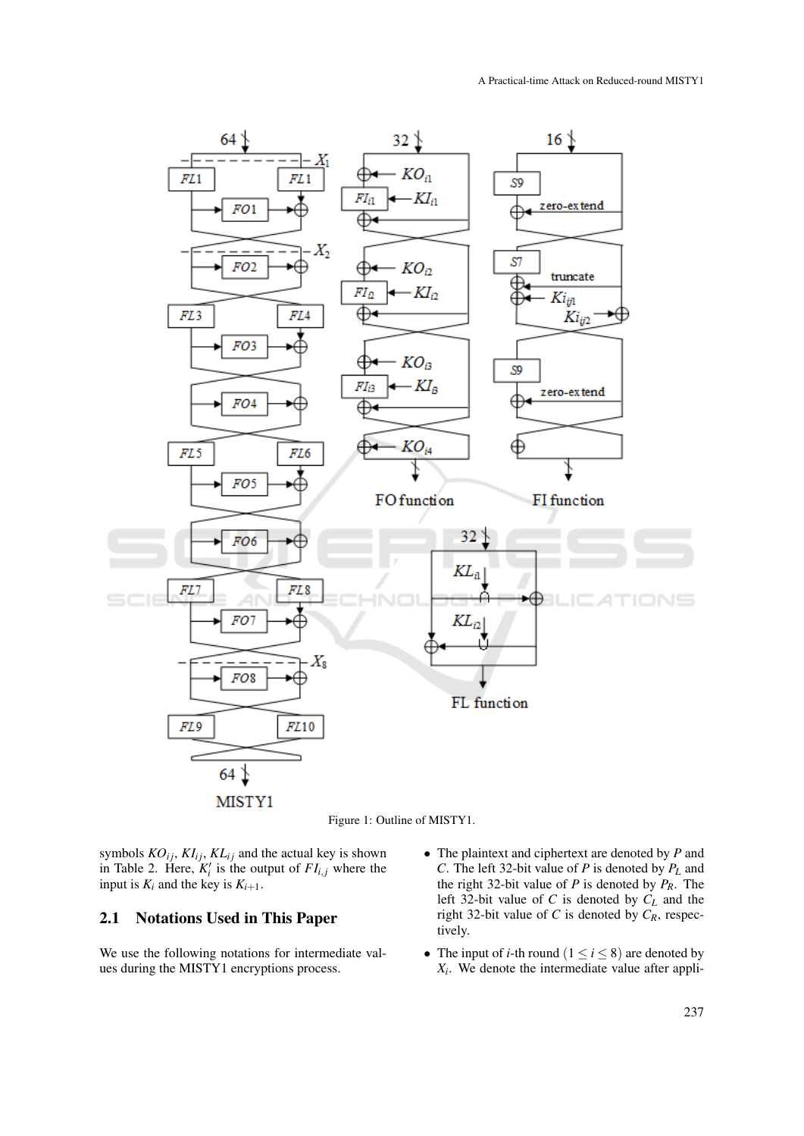



symbols  $KO_{ij}$ ,  $KI_{ij}$ ,  $KL_{ij}$  and the actual key is shown in Table 2. Here,  $K_i'$  is the output of  $FI_{i,j}$  where the input is  $K_i$  and the key is  $K_{i+1}$ .

#### 2.1 Notations Used in This Paper

We use the following notations for intermediate values during the MISTY1 encryptions process.

- The plaintext and ciphertext are denoted by *P* and *C*. The left 32-bit value of *P* is denoted by *P<sup>L</sup>* and the right 32-bit value of *P* is denoted by  $P_R$ . The left 32-bit value of *C* is denoted by *C<sup>L</sup>* and the right 32-bit value of *C* is denoted by *CR*, respectively.
- The input of *i*-th round  $(1 \le i \le 8)$  are denoted by  $X_i$ . We denote the intermediate value after appli-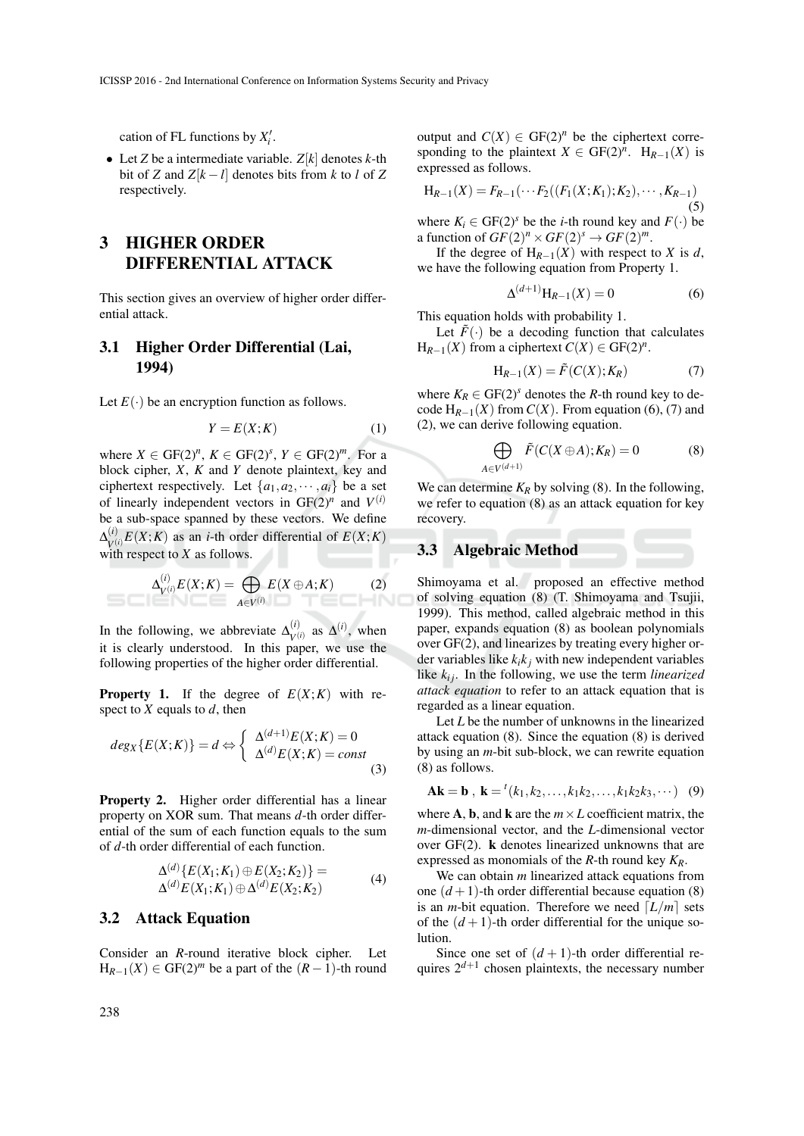cation of FL functions by  $X_i'$ .

• Let *Z* be a intermediate variable.  $Z[k]$  denotes *k*-th bit of *Z* and  $Z[k-l]$  denotes bits from *k* to *l* of *Z* respectively.

# 3 HIGHER ORDER DIFFERENTIAL ATTACK

This section gives an overview of higher order differential attack.

### 3.1 Higher Order Differential (Lai, 1994)

Let  $E(\cdot)$  be an encryption function as follows.

$$
Y = E(X;K) \tag{1}
$$

where  $X \in \text{GF}(2)^n$ ,  $K \in \text{GF}(2)^s$ ,  $Y \in \text{GF}(2)^m$ . For a block cipher, *X*, *K* and *Y* denote plaintext, key and ciphertext respectively. Let  $\{a_1, a_2, \dots, a_i\}$  be a set of linearly independent vectors in  $GF(2)^n$  and  $V^{(i)}$ be a sub-space spanned by these vectors. We define  $\Delta^{(i)}_{\!\scriptscriptstyle\rm U\ell}$  $V(V)$  (*V*) as an *i*-th order differential of  $E(X;K)$ with respect to *X* as follows.

$$
\Delta_{V^{(i)}}^{(i)} E(X;K) = \bigoplus_{A \in V^{(i)}} E(X \oplus A;K) \tag{2}
$$

In the following, we abbreviate  $\Delta_{\nu}^{(i)}$  $V^{(i)}$  as  $\Delta^{(i)}$ , when it is clearly understood. In this paper, we use the following properties of the higher order differential.

**Property 1.** If the degree of  $E(X;K)$  with respect to *X* equals to *d*, then

$$
deg_X\{E(X;K)\} = d \Leftrightarrow \begin{cases} \Delta^{(d+1)}E(X;K) = 0\\ \Delta^{(d)}E(X;K) = const \end{cases}
$$
\n(3)

Property 2. Higher order differential has a linear property on XOR sum. That means *d*-th order differential of the sum of each function equals to the sum of *d*-th order differential of each function.

$$
\Delta^{(d)}\{E(X_1;K_1) \oplus E(X_2;K_2)\} = \Delta^{(d)}E(X_1;K_1) \oplus \Delta^{(d)}E(X_2;K_2)
$$
\n(4)

#### 3.2 Attack Equation

Consider an *R*-round iterative block cipher. Let  $H_{R-1}(X) \in GF(2)^m$  be a part of the  $(R-1)$ -th round

output and  $C(X) \in GF(2)^n$  be the ciphertext corresponding to the plaintext *X*  $\in$  GF(2)<sup>*n*</sup>. H<sub>*R*−1</sub>(*X*) is expressed as follows.

$$
H_{R-1}(X) = F_{R-1}(\cdots F_2((F_1(X;K_1);K_2),\cdots,K_{R-1})
$$
\n(5)

where  $K_i \in \text{GF}(2)^s$  be the *i*-th round key and  $F(\cdot)$  be a function of  $GF(2)^n \times GF(2)^s \rightarrow GF(2)^m$ .

If the degree of  $H_{R-1}(X)$  with respect to *X* is *d*, we have the following equation from Property 1.

$$
\Delta^{(d+1)}\mathcal{H}_{R-1}(X) = 0\tag{6}
$$

This equation holds with probability 1.

Let  $\tilde{F}(\cdot)$  be a decoding function that calculates  $H_{R-1}(X)$  from a ciphertext  $C(X) \in GF(2)^n$ .

$$
H_{R-1}(X) = \tilde{F}(C(X); K_R)
$$
 (7)

where  $K_R \in \text{GF}(2)^s$  denotes the *R*-th round key to decode  $H_{R-1}(X)$  from  $C(X)$ . From equation (6), (7) and (2), we can derive following equation.

$$
\bigoplus_{A \in V^{(d+1)}} \tilde{F}(C(X \oplus A); K_R) = 0 \tag{8}
$$

We can determine  $K_R$  by solving (8). In the following, we refer to equation (8) as an attack equation for key recovery.

#### 3.3 Algebraic Method

Shimoyama et al. proposed an effective method of solving equation (8) (T. Shimoyama and Tsujii, 1999). This method, called algebraic method in this paper, expands equation (8) as boolean polynomials over GF(2), and linearizes by treating every higher order variables like  $k_i k_j$  with new independent variables like  $k_{ij}$ . In the following, we use the term *linearized attack equation* to refer to an attack equation that is regarded as a linear equation.

Let *L* be the number of unknowns in the linearized attack equation (8). Since the equation (8) is derived by using an *m*-bit sub-block, we can rewrite equation (8) as follows.

$$
Ak = b , k = {^{t}(k_1, k_2, \ldots, k_1k_2, \ldots, k_1k_2k_3, \cdots)}
$$
 (9)

where **A**, **b**, and **k** are the  $m \times L$  coefficient matrix, the *m*-dimensional vector, and the *L*-dimensional vector over GF(2). k denotes linearized unknowns that are expressed as monomials of the *R*-th round key *KR*.

We can obtain *m* linearized attack equations from one  $(d+1)$ -th order differential because equation (8) is an *m*-bit equation. Therefore we need  $\lfloor L/m \rfloor$  sets of the  $(d+1)$ -th order differential for the unique solution.

Since one set of  $(d+1)$ -th order differential requires  $2^{d+1}$  chosen plaintexts, the necessary number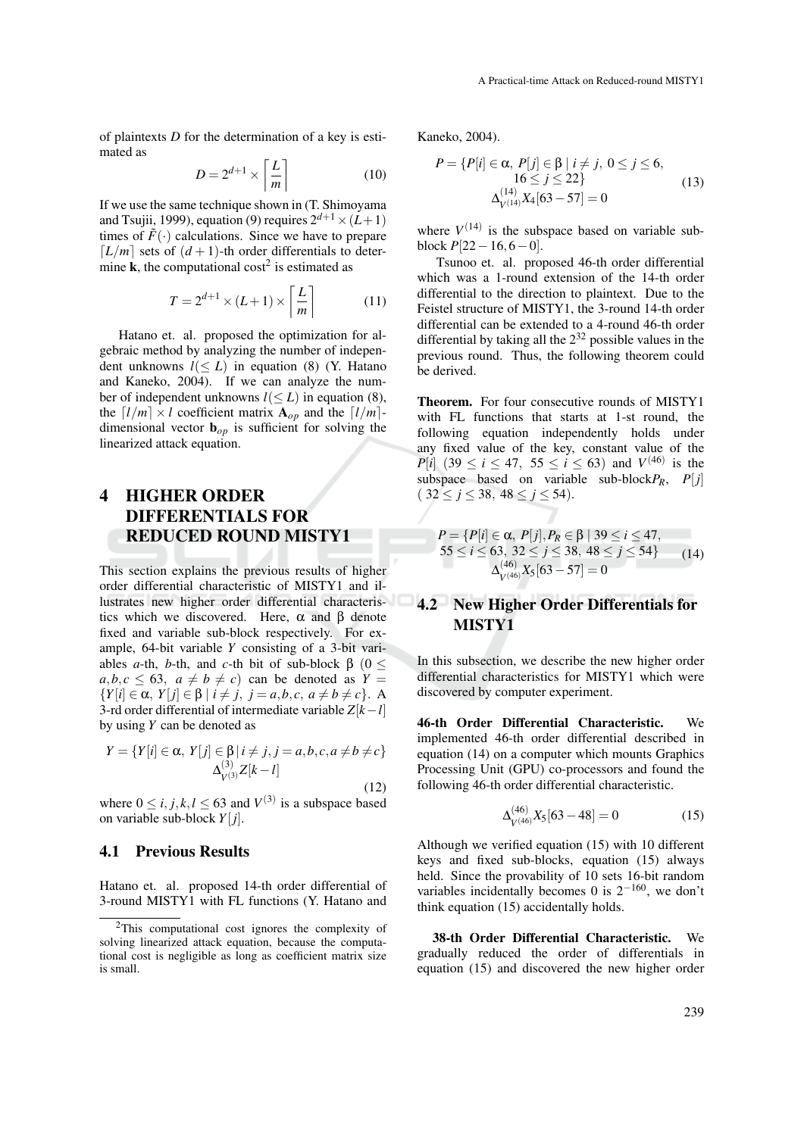of plaintexts *D* for the determination of a key is estimated as

$$
D = 2^{d+1} \times \left\lceil \frac{L}{m} \right\rceil \tag{10}
$$

If we use the same technique shown in (T. Shimoyama and Tsujii, 1999), equation (9) requires  $2^{d+1} \times (L+1)$ times of  $F(\cdot)$  calculations. Since we have to prepare  $[L/m]$  sets of  $(d+1)$ -th order differentials to determine **k**, the computational cost<sup>2</sup> is estimated as

$$
T = 2^{d+1} \times (L+1) \times \left\lceil \frac{L}{m} \right\rceil \tag{11}
$$

Hatano et. al. proposed the optimization for algebraic method by analyzing the number of independent unknowns  $l \leq L$ ) in equation (8) (Y. Hatano and Kaneko, 2004). If we can analyze the number of independent unknowns  $l(\leq L)$  in equation (8), the  $\lceil l/m \rceil \times l$  coefficient matrix  $\mathbf{A}_{op}$  and the  $\lceil l/m \rceil$ dimensional vector  $\mathbf{b}_{op}$  is sufficient for solving the linearized attack equation.

# 4 HIGHER ORDER DIFFERENTIALS FOR REDUCED ROUND MISTY1

This section explains the previous results of higher order differential characteristic of MISTY1 and illustrates new higher order differential characteristics which we discovered. Here,  $\alpha$  and  $\beta$  denote fixed and variable sub-block respectively. For example, 64-bit variable *Y* consisting of a 3-bit variables *a*-th, *b*-th, and *c*-th bit of sub-block  $β$  (0 <  $a, b, c \leq 63$ ,  $a \neq b \neq c$  can be denoted as  $Y =$  ${Y[i] \in \alpha, Y[j] \in \beta \mid i \neq j, j = a, b, c, a \neq b \neq c}.$  A 3-rd order differential of intermediate variable *Z*[*k*−*l*] by using *Y* can be denoted as

$$
Y = \{ Y[i] \in \alpha, Y[j] \in \beta | i \neq j, j = a, b, c, a \neq b \neq c \}
$$
  

$$
\Delta_{V^{(3)}}^{(3)} Z[k - l]
$$

(12) where  $0 \le i, j, k, l \le 63$  and  $V^{(3)}$  is a subspace based on variable sub-block *Y*[ *j*].

#### 4.1 Previous Results

Hatano et. al. proposed 14-th order differential of 3-round MISTY1 with FL functions (Y. Hatano and

Kaneko, 2004).

$$
P = \{P[i] \in \alpha, P[j] \in \beta \mid i \neq j, 0 \le j \le 6, 16 \le j \le 22\}
$$
  

$$
\Delta_{V^{(14)}}^{(14)} X_4 [63 - 57] = 0
$$
 (13)

where  $V^{(14)}$  is the subspace based on variable subblock  $P[22-16,6-0]$ .

Tsunoo et. al. proposed 46-th order differential which was a 1-round extension of the 14-th order differential to the direction to plaintext. Due to the Feistel structure of MISTY1, the 3-round 14-th order differential can be extended to a 4-round 46-th order differential by taking all the  $2^{32}$  possible values in the previous round. Thus, the following theorem could be derived.

Theorem. For four consecutive rounds of MISTY1 with FL functions that starts at 1-st round, the following equation independently holds under any fixed value of the key, constant value of the *P*[*i*] (39  $\le i \le 47$ , 55  $\le i \le 63$ ) and *V*<sup>(46)</sup> is the subspace based on variable sub-block $P_R$ ,  $P[j]$  $(32 \leq j \leq 38, 48 \leq j \leq 54).$ 

$$
P = \{P[i] \in \alpha, P[j], P_R \in \beta \mid 39 \le i \le 47, 55 \le i \le 63, 32 \le j \le 38, 48 \le j \le 54\} \qquad (14)
$$
  

$$
\Delta_{V^{(46)}}^{(46)} X_5[63 - 57] = 0
$$

## 4.2 New Higher Order Differentials for MISTY1

In this subsection, we describe the new higher order differential characteristics for MISTY1 which were discovered by computer experiment.

46-th Order Differential Characteristic. We implemented 46-th order differential described in equation (14) on a computer which mounts Graphics Processing Unit (GPU) co-processors and found the following 46-th order differential characteristic.

$$
\Delta_{V^{(46)}}^{(46)} X_5[63 - 48] = 0 \tag{15}
$$

Although we verified equation (15) with 10 different keys and fixed sub-blocks, equation (15) always held. Since the provability of 10 sets 16-bit random variables incidentally becomes 0 is  $2^{-160}$ , we don't think equation (15) accidentally holds.

38-th Order Differential Characteristic. We gradually reduced the order of differentials in equation (15) and discovered the new higher order

<sup>&</sup>lt;sup>2</sup>This computational cost ignores the complexity of solving linearized attack equation, because the computational cost is negligible as long as coefficient matrix size is small.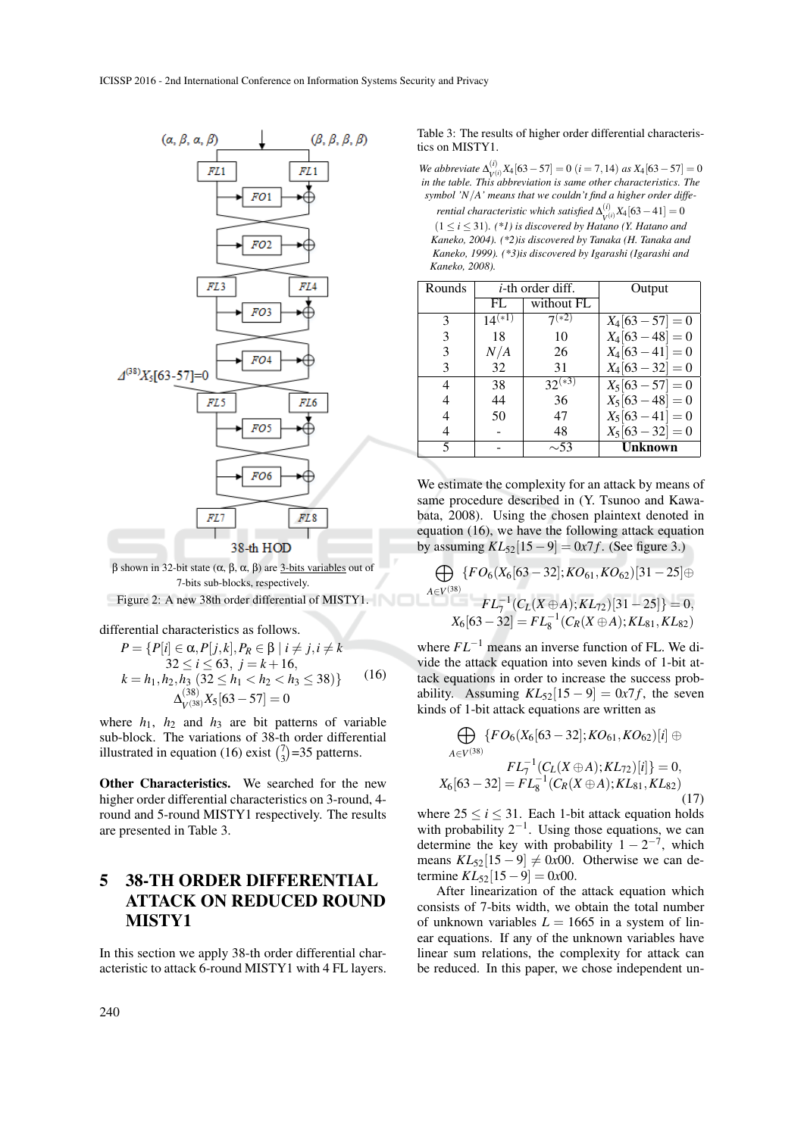



Figure 2: A new 38th order differential of MISTY1. *A*∈*V*

differential characteristics as follows.

$$
P = \{P[i] \in \alpha, P[j,k], P_R \in \beta \mid i \neq j, i \neq k 32 \le i \le 63, j = k + 16, k = h_1, h_2, h_3 \ (32 \le h_1 < h_2 < h_3 \le 38)\} \tag{16}
$$
\n
$$
\Delta_{V^{(38)}}^{(38)} X_5[63 - 57] = 0
$$

where  $h_1$ ,  $h_2$  and  $h_3$  are bit patterns of variable sub-block. The variations of 38-th order differential illustrated in equation (16) exist  $\binom{7}{3}$ =35 patterns.

Other Characteristics. We searched for the new higher order differential characteristics on 3-round, 4 round and 5-round MISTY1 respectively. The results are presented in Table 3.

# 5 38-TH ORDER DIFFERENTIAL ATTACK ON REDUCED ROUND MISTY1

In this section we apply 38-th order differential characteristic to attack 6-round MISTY1 with 4 FL layers.

Table 3: The results of higher order differential characteristics on MISTY1.

*We abbreviate*  $\Delta_{\rm M}^{(i)}$  $V(V_i)X_4[63-57] = 0$  (*i* = 7, 14) *as*  $X_4[63-57] = 0$ *in the table. This abbreviation is same other characteristics. The symbol 'N*/*A' means that we couldn't find a higher order differential characteristic which satisfied*  $\Delta_{i,j}^{(i)}$ 

 $V(V_i)$   $X_4$ [63 – 41] = 0  $(1 \le i \le 31)$ . (\*1) is discovered by Hatano (Y. Hatano and *Kaneko, 2004). (\*2)is discovered by Tanaka (H. Tanaka and Kaneko, 1999). (\*3)is discovered by Igarashi (Igarashi and Kaneko, 2008).*

| Rounds |             | <i>i</i> -th order diff. | Output         |
|--------|-------------|--------------------------|----------------|
|        | FL          | without FL               |                |
| 3      | $14^{(*1)}$ | $7^{(\overline{*2})}$    | $X_4[63-57]=0$ |
| 3      | 18          | 10                       | $X_4[63-48]=0$ |
| 3      | N/A         | 26                       | $X_4[63-41]=0$ |
| 3      | 32          | 31                       | $X_4[63-32]=0$ |
| 4      | 38          | $32^{(*3)}$              | $X_5[63-57]=0$ |
|        | 44          | 36                       | $X_5[63-48]=0$ |
|        | 50          | 47                       | $X_5[63-41]=0$ |
|        |             | 48                       | $X_5[63-32]=0$ |
| 5      |             | $\sim$ 53                | <b>Unknown</b> |

We estimate the complexity for an attack by means of same procedure described in (Y. Tsunoo and Kawabata, 2008). Using the chosen plaintext denoted in equation (16), we have the following attack equation by assuming  $KL_{52}[15-9] = 0x7f$ . (See figure 3.)

$$
\bigoplus_{i \in V^{(38)}} \{ FO_6(X_6[63-32]; KO_{61}, KO_{62})[31-25] \oplus FL_7^{-1}(C_L(X \oplus A); KL_{72})[31-25] \} = 0, X_6[63-32] = FL_8^{-1}(C_R(X \oplus A); KL_{81}, KL_{82})
$$

where *FL*−<sup>1</sup> means an inverse function of FL. We divide the attack equation into seven kinds of 1-bit attack equations in order to increase the success probability. Assuming  $KL_{52}[15 - 9] = 0x7f$ , the seven kinds of 1-bit attack equations are written as

$$
\bigoplus_{A \in V^{(38)}} \{ FO_6(X_6[63-32]; KO_{61}, KO_{62})[i] \oplus \newline FL_7^{-1}(C_L(X \oplus A); KL_{72})[i] \} = 0, X_6[63-32] = FL_8^{-1}(C_R(X \oplus A); KL_{81}, KL_{82}) \tag{17}
$$

where  $25 \le i \le 31$ . Each 1-bit attack equation holds with probability  $2^{-1}$ . Using those equations, we can determine the key with probability  $1 - 2^{-7}$ , which means  $KL_{52}[15 - 9] \neq 0x00$ . Otherwise we can determine  $KL_{52}[15-9] = 0x00$ .

After linearization of the attack equation which consists of 7-bits width, we obtain the total number of unknown variables  $L = 1665$  in a system of linear equations. If any of the unknown variables have linear sum relations, the complexity for attack can be reduced. In this paper, we chose independent un-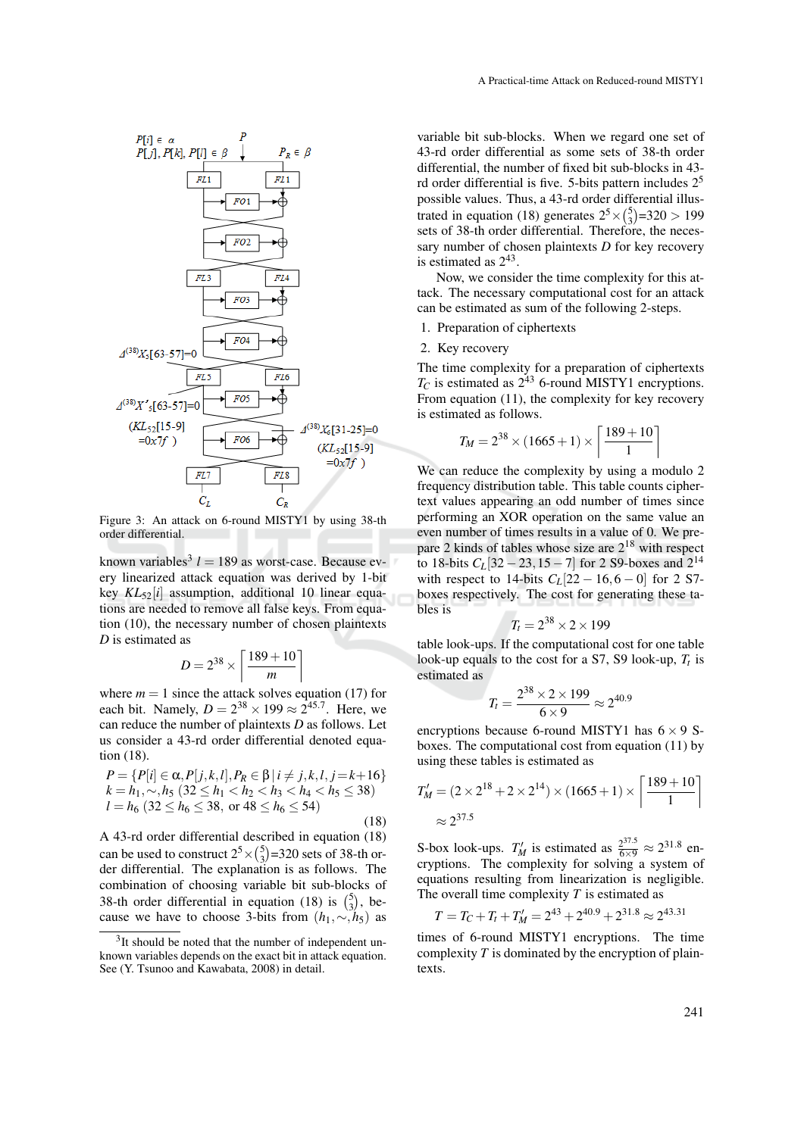

Figure 3: An attack on 6-round MISTY1 by using 38-th order differential.

known variables<sup>3</sup>  $l = 189$  as worst-case. Because every linearized attack equation was derived by 1-bit key *KL*52[*i*] assumption, additional 10 linear equations are needed to remove all false keys. From equation (10), the necessary number of chosen plaintexts *D* is estimated as

$$
D = 2^{38} \times \left\lceil \frac{189 + 10}{m} \right\rceil
$$

where  $m = 1$  since the attack solves equation (17) for each bit. Namely,  $D = 2^{38} \times 199 \approx 2^{45.7}$ . Here, we can reduce the number of plaintexts *D* as follows. Let us consider a 43-rd order differential denoted equation (18).

$$
P = \{P[i] \in \alpha, P[j, k, l], P_R \in \beta | i \neq j, k, l, j = k + 16 \}
$$
  
\n
$$
k = h_1, \sim, h_5 (32 \le h_1 < h_2 < h_3 < h_4 < h_5 \le 38)
$$
  
\n
$$
l = h_6 (32 \le h_6 \le 38, \text{ or } 48 \le h_6 \le 54)
$$
\n(18)

A 43-rd order differential described in equation (18) can be used to construct  $2^5 \times {5 \choose 3} = 320$  sets of 38-th order differential. The explanation is as follows. The combination of choosing variable bit sub-blocks of 38-th order differential in equation (18) is  $\binom{5}{3}$ , because we have to choose 3-bits from  $(h_1, \sim, h_5)$  as variable bit sub-blocks. When we regard one set of 43-rd order differential as some sets of 38-th order differential, the number of fixed bit sub-blocks in 43 rd order differential is five. 5-bits pattern includes  $2<sup>5</sup>$ possible values. Thus, a 43-rd order differential illustrated in equation (18) generates  $2^5 \times {5 \choose 3} = 320 > 199$ sets of 38-th order differential. Therefore, the necessary number of chosen plaintexts *D* for key recovery is estimated as  $2^{43}$ .

Now, we consider the time complexity for this attack. The necessary computational cost for an attack can be estimated as sum of the following 2-steps.

1. Preparation of ciphertexts

#### 2. Key recovery

The time complexity for a preparation of ciphertexts  $T_C$  is estimated as  $2^{43}$  6-round MISTY1 encryptions. From equation (11), the complexity for key recovery is estimated as follows.

$$
T_M = 2^{38} \times (1665 + 1) \times \left[ \frac{189 + 10}{1} \right]
$$

We can reduce the complexity by using a modulo 2 frequency distribution table. This table counts ciphertext values appearing an odd number of times since performing an XOR operation on the same value an even number of times results in a value of 0. We prepare 2 kinds of tables whose size are  $2^{18}$  with respect to 18-bits  $C_L$ [32 – 23, 15 – 7] for 2 S9-boxes and  $2^{14}$ with respect to 14-bits  $C_L[22 - 16, 6 - 0]$  for 2 S7boxes respectively. The cost for generating these tables is

$$
T_t = 2^{38} \times 2 \times 199
$$

table look-ups. If the computational cost for one table look-up equals to the cost for a S7, S9 look-up, *T<sup>t</sup>* is estimated as

$$
T_t = \frac{2^{38} \times 2 \times 199}{6 \times 9} \approx 2^{40.9}
$$

encryptions because 6-round MISTY1 has  $6 \times 9$  Sboxes. The computational cost from equation (11) by using these tables is estimated as

$$
T'_{M} = (2 \times 2^{18} + 2 \times 2^{14}) \times (1665 + 1) \times \left[ \frac{189 + 10}{1} \right]
$$
  

$$
\approx 2^{37.5}
$$

S-box look-ups.  $T'_M$  is estimated as  $\frac{2^{37.5}}{6 \times 9} \approx 2^{31.8}$  encryptions. The complexity for solving a system of equations resulting from linearization is negligible. The overall time complexity *T* is estimated as

$$
T = T_C + T_t + T'_M = 2^{43} + 2^{40.9} + 2^{31.8} \approx 2^{43.31}
$$

times of 6-round MISTY1 encryptions. The time complexity *T* is dominated by the encryption of plaintexts.

<sup>&</sup>lt;sup>3</sup>It should be noted that the number of independent unknown variables depends on the exact bit in attack equation. See (Y. Tsunoo and Kawabata, 2008) in detail.